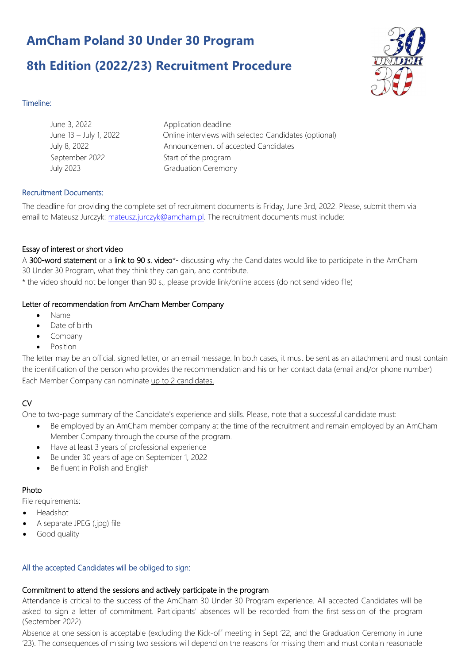# **AmCham Poland 30 Under 30 Program**

## **8th Edition (2022/23) Recruitment Procedure**



## Timeline:

| June 3, 2022           | Application deadline                                  |
|------------------------|-------------------------------------------------------|
| June 13 - July 1, 2022 | Online interviews with selected Candidates (optional) |
| July 8, 2022           | Announcement of accepted Candidates                   |
| September 2022         | Start of the program                                  |
| <b>July 2023</b>       | <b>Graduation Ceremony</b>                            |
|                        |                                                       |

### Recruitment Documents:

The deadline for providing the complete set of recruitment documents is Friday, June 3rd, 2022. Please, submit them via email to Mateusz Jurczyk: mateusz.jurczyk@amcham.pl. The recruitment documents must include:

### Essay of interest or short video

A 300-word statement or a link to 90 s. video\*- discussing why the Candidates would like to participate in the AmCham 30 Under 30 Program, what they think they can gain, and contribute.

\* the video should not be longer than 90 s., please provide link/online access (do not send video file)

## Letter of recommendation from AmCham Member Company

- Name
- Date of birth
- **Company**
- Position

The letter may be an official, signed letter, or an email message. In both cases, it must be sent as an attachment and must contain the identification of the person who provides the recommendation and his or her contact data (email and/or phone number) Each Member Company can nominate up to 2 candidates.

## **CV**

One to two-page summary of the Candidate's experience and skills. Please, note that a successful candidate must:

- Be employed by an AmCham member company at the time of the recruitment and remain employed by an AmCham Member Company through the course of the program.
- Have at least 3 years of professional experience
- Be under 30 years of age on September 1, 2022
- Be fluent in Polish and English

#### Photo

File requirements:

- Headshot
- A separate JPEG (.jpg) file
- Good quality

## All the accepted Candidates will be obliged to sign:

## Commitment to attend the sessions and actively participate in the program

Attendance is critical to the success of the AmCham 30 Under 30 Program experience. All accepted Candidates will be asked to sign a letter of commitment. Participants' absences will be recorded from the first session of the program (September 2022).

Absence at one session is acceptable (excluding the Kick-off meeting in Sept '22; and the Graduation Ceremony in June '23). The consequences of missing two sessions will depend on the reasons for missing them and must contain reasonable